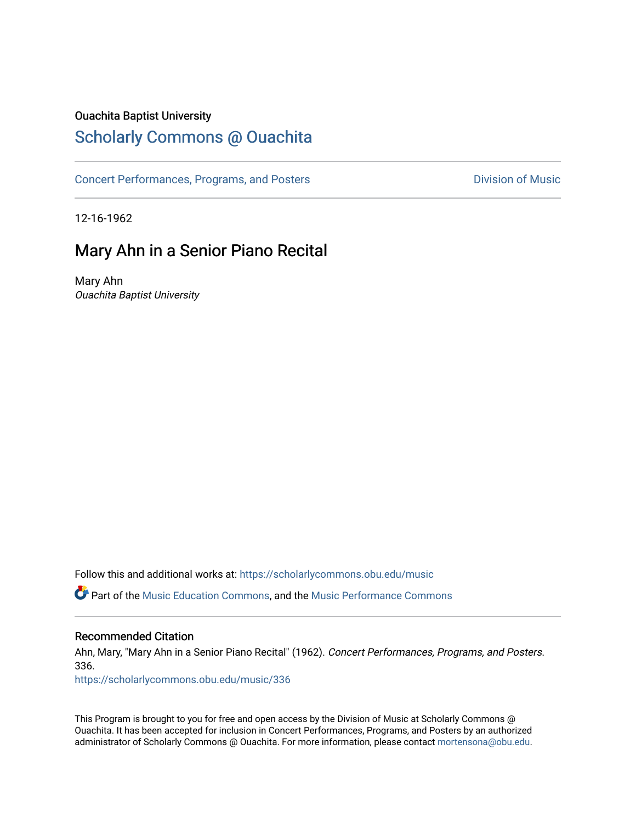#### Ouachita Baptist University

### [Scholarly Commons @ Ouachita](https://scholarlycommons.obu.edu/)

[Concert Performances, Programs, and Posters](https://scholarlycommons.obu.edu/music) **Division of Music** Division of Music

12-16-1962

### Mary Ahn in a Senior Piano Recital

Mary Ahn Ouachita Baptist University

Follow this and additional works at: [https://scholarlycommons.obu.edu/music](https://scholarlycommons.obu.edu/music?utm_source=scholarlycommons.obu.edu%2Fmusic%2F336&utm_medium=PDF&utm_campaign=PDFCoverPages) 

**C**<sup> $\bullet$ </sup> Part of the [Music Education Commons,](http://network.bepress.com/hgg/discipline/1246?utm_source=scholarlycommons.obu.edu%2Fmusic%2F336&utm_medium=PDF&utm_campaign=PDFCoverPages) and the Music Performance Commons

#### Recommended Citation

Ahn, Mary, "Mary Ahn in a Senior Piano Recital" (1962). Concert Performances, Programs, and Posters. 336.

[https://scholarlycommons.obu.edu/music/336](https://scholarlycommons.obu.edu/music/336?utm_source=scholarlycommons.obu.edu%2Fmusic%2F336&utm_medium=PDF&utm_campaign=PDFCoverPages) 

This Program is brought to you for free and open access by the Division of Music at Scholarly Commons @ Ouachita. It has been accepted for inclusion in Concert Performances, Programs, and Posters by an authorized administrator of Scholarly Commons @ Ouachita. For more information, please contact [mortensona@obu.edu](mailto:mortensona@obu.edu).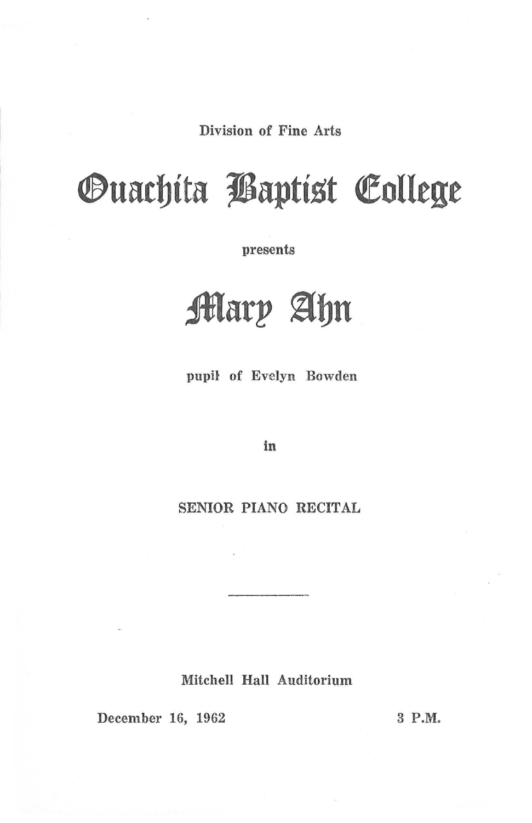Division of Fine Arts

# *Ouachita Baptist College*

presents

## **Mary Ahn**

pupil of Evelyn Bowden

in

SENIOR PIANO RECITAL

Mitchell Hall Auditorium

December 16, 1962

3 P.M.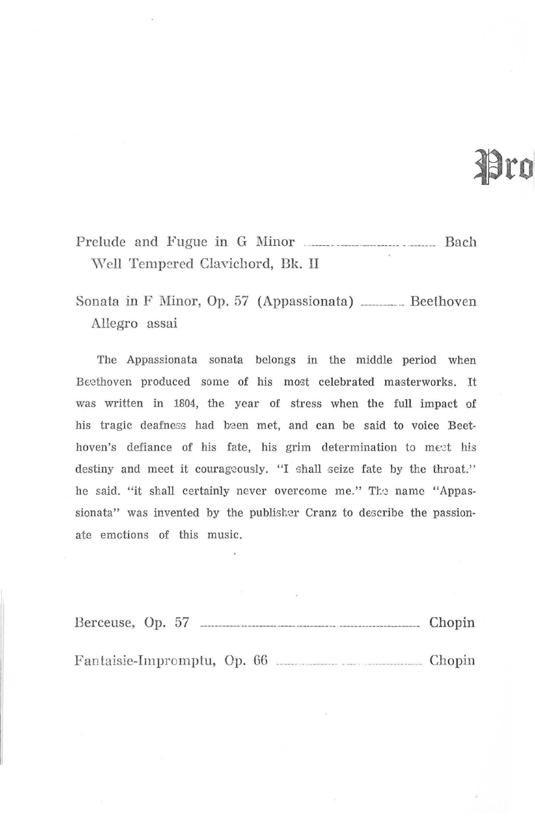# Pro

Prelude and Fugue in G Minor \Veil Tempered Clavichord, Bk. II

Sonata in F Minor, Op. 57 (Appassionata) \_\_\_\_\_\_\_\_\_ Beethoven Allegro assai

The Appassionata sonata belongs in the middle period when Beethoven produced some of his most celebrated masterworks. It was written in 1804, the year of stress when the full impact of his tragic deafness had been met, and can be said to voice Beethoven's defiance of his fate, his grim determination to meet his destiny and meet it courageously. "I shall seize fate by the throat." he said. "it shall certainly never overcome me." The name "Appassionata" was invented by the publisher Cranz to describe the passionate emotions of this music.

| Berceuse, Op. 57 |  |  |  |  | Chopin |  |
|------------------|--|--|--|--|--------|--|
|                  |  |  |  |  |        |  |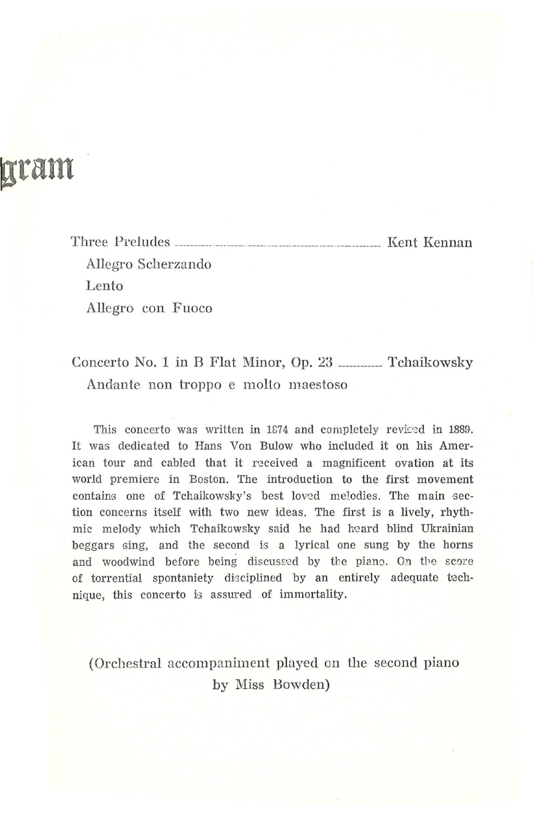### gram

Three Preludes \_\_\_\_\_\_\_\_\_\_\_\_\_\_\_\_\_\_\_\_\_\_\_\_\_\_\_\_\_\_\_\_\_ Kent Kennan Allegro Scherzando Lento Allegro con Fuoco

#### Concerto No. 1 in B Flat Minor, Op. 23 \_\_\_\_\_\_\_\_ Tchaikowsky Andante non troppo e molto maestoso

This concerto was written in 1874 and completely revised in 1889. It was dedicated to Hans Von Bulow who included it on his American tour and cabled that it received a magnificent ovation at its world premiere in Boston. The introduction to the first movement contains one of Tchaikowsky's best loved melodies. The main section concerns itself with two new ideas. The first is a lively, rhythmic melody which Tchaikowsky said he had heard blind Ukrainian beggars sing, and the second is a lyrical one sung by the horns and woodwind before being discussed by the piano. On the score of torrential spontaniety disciplined by an entirely adequate technique, this concerto is assured of immortality.

(Orchestral accompaniment played on the second piano by Miss Bowden)